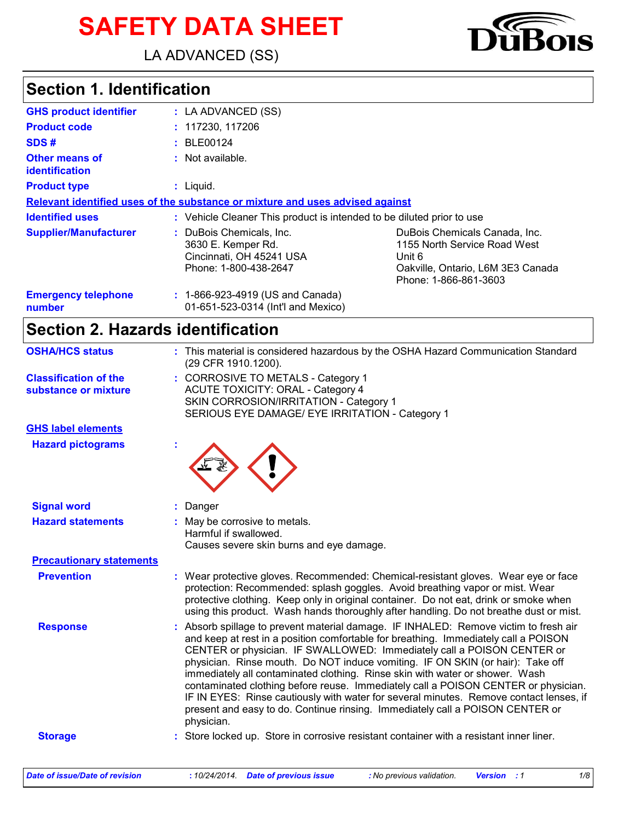# **SAFETY DATA SHEET**

LA ADVANCED (SS)

## **Section 1. Identification**

| <b>GHS product identifier</b>           | : LA ADVANCED (SS)                                                                                  |                                                                                                                                       |  |  |
|-----------------------------------------|-----------------------------------------------------------------------------------------------------|---------------------------------------------------------------------------------------------------------------------------------------|--|--|
| <b>Product code</b>                     | : 117230, 117206                                                                                    |                                                                                                                                       |  |  |
| SDS#                                    | : BLE00124                                                                                          |                                                                                                                                       |  |  |
| <b>Other means of</b><br>identification | : Not available.                                                                                    |                                                                                                                                       |  |  |
| <b>Product type</b>                     | $:$ Liquid.                                                                                         |                                                                                                                                       |  |  |
|                                         | Relevant identified uses of the substance or mixture and uses advised against                       |                                                                                                                                       |  |  |
| <b>Identified uses</b>                  | : Vehicle Cleaner This product is intended to be diluted prior to use                               |                                                                                                                                       |  |  |
| <b>Supplier/Manufacturer</b>            | : DuBois Chemicals, Inc.<br>3630 E. Kemper Rd.<br>Cincinnati, OH 45241 USA<br>Phone: 1-800-438-2647 | DuBois Chemicals Canada, Inc.<br>1155 North Service Road West<br>Unit 6<br>Oakville, Ontario, L6M 3E3 Canada<br>Phone: 1-866-861-3603 |  |  |
| <b>Emergency telephone</b><br>number    | : 1-866-923-4919 (US and Canada)<br>01-651-523-0314 (Int'l and Mexico)                              |                                                                                                                                       |  |  |

# **Section 2. Hazards identification**

| <b>OSHA/HCS status</b>                               | : This material is considered hazardous by the OSHA Hazard Communication Standard<br>(29 CFR 1910.1200).                                                                                                                                                                                                                                                                                                                                                                                                                                                                                                                                                                                               |
|------------------------------------------------------|--------------------------------------------------------------------------------------------------------------------------------------------------------------------------------------------------------------------------------------------------------------------------------------------------------------------------------------------------------------------------------------------------------------------------------------------------------------------------------------------------------------------------------------------------------------------------------------------------------------------------------------------------------------------------------------------------------|
| <b>Classification of the</b><br>substance or mixture | : CORROSIVE TO METALS - Category 1<br><b>ACUTE TOXICITY: ORAL - Category 4</b><br>SKIN CORROSION/IRRITATION - Category 1<br>SERIOUS EYE DAMAGE/ EYE IRRITATION - Category 1                                                                                                                                                                                                                                                                                                                                                                                                                                                                                                                            |
| <b>GHS label elements</b>                            |                                                                                                                                                                                                                                                                                                                                                                                                                                                                                                                                                                                                                                                                                                        |
| <b>Hazard pictograms</b>                             |                                                                                                                                                                                                                                                                                                                                                                                                                                                                                                                                                                                                                                                                                                        |
| <b>Signal word</b>                                   | : Danger                                                                                                                                                                                                                                                                                                                                                                                                                                                                                                                                                                                                                                                                                               |
| <b>Hazard statements</b>                             | : May be corrosive to metals.<br>Harmful if swallowed.<br>Causes severe skin burns and eye damage.                                                                                                                                                                                                                                                                                                                                                                                                                                                                                                                                                                                                     |
| <b>Precautionary statements</b>                      |                                                                                                                                                                                                                                                                                                                                                                                                                                                                                                                                                                                                                                                                                                        |
| <b>Prevention</b>                                    | : Wear protective gloves. Recommended: Chemical-resistant gloves. Wear eye or face<br>protection: Recommended: splash goggles. Avoid breathing vapor or mist. Wear<br>protective clothing. Keep only in original container. Do not eat, drink or smoke when<br>using this product. Wash hands thoroughly after handling. Do not breathe dust or mist.                                                                                                                                                                                                                                                                                                                                                  |
| <b>Response</b>                                      | : Absorb spillage to prevent material damage. IF INHALED: Remove victim to fresh air<br>and keep at rest in a position comfortable for breathing. Immediately call a POISON<br>CENTER or physician. IF SWALLOWED: Immediately call a POISON CENTER or<br>physician. Rinse mouth. Do NOT induce vomiting. IF ON SKIN (or hair): Take off<br>immediately all contaminated clothing. Rinse skin with water or shower. Wash<br>contaminated clothing before reuse. Immediately call a POISON CENTER or physician.<br>IF IN EYES: Rinse cautiously with water for several minutes. Remove contact lenses, if<br>present and easy to do. Continue rinsing. Immediately call a POISON CENTER or<br>physician. |
|                                                      |                                                                                                                                                                                                                                                                                                                                                                                                                                                                                                                                                                                                                                                                                                        |



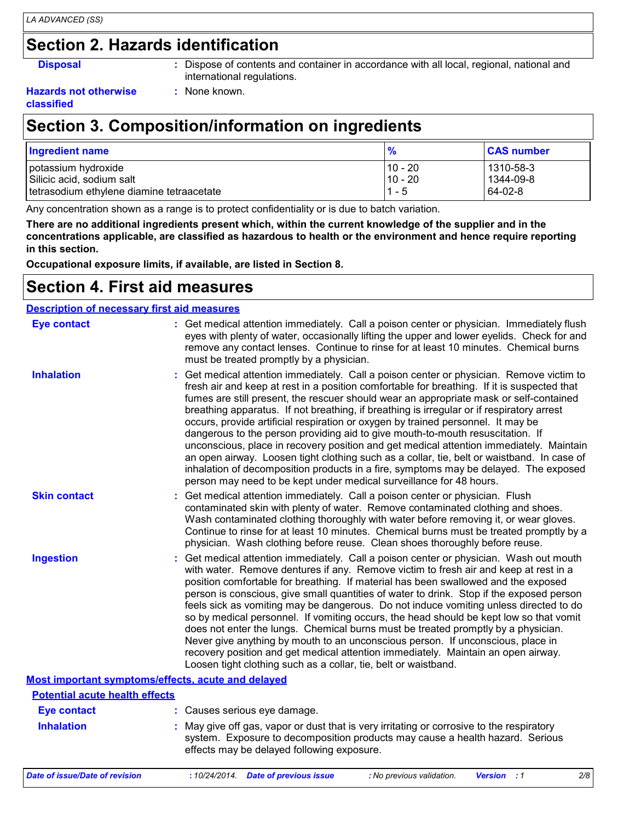#### **Section 2. Hazards identification**

**Disposal :** Dispose of contents and container in accordance with all local, regional, national and international regulations.

#### **Hazards not otherwise classified**

#### **Section 3. Composition/information on ingredients**

**:** None known.

| <b>Ingredient name</b>                    |           | <b>CAS number</b> |
|-------------------------------------------|-----------|-------------------|
| potassium hydroxide                       | 10 - 20   | 1310-58-3         |
| Silicic acid, sodium salt                 | $10 - 20$ | 1344-09-8         |
| tetrasodium ethylene diamine tetraacetate | - 5       | $64-02-8$         |

Any concentration shown as a range is to protect confidentiality or is due to batch variation.

**There are no additional ingredients present which, within the current knowledge of the supplier and in the concentrations applicable, are classified as hazardous to health or the environment and hence require reporting in this section.**

**Occupational exposure limits, if available, are listed in Section 8.**

#### **Section 4. First aid measures**

| <b>Description of necessary first aid measures</b> |                                                                                                                                                                                                                                                                                                                                                                                                                                                                                                                                                                                                                                                                                                                                                                                                                                                                                                              |
|----------------------------------------------------|--------------------------------------------------------------------------------------------------------------------------------------------------------------------------------------------------------------------------------------------------------------------------------------------------------------------------------------------------------------------------------------------------------------------------------------------------------------------------------------------------------------------------------------------------------------------------------------------------------------------------------------------------------------------------------------------------------------------------------------------------------------------------------------------------------------------------------------------------------------------------------------------------------------|
| <b>Eye contact</b>                                 | : Get medical attention immediately. Call a poison center or physician. Immediately flush<br>eyes with plenty of water, occasionally lifting the upper and lower eyelids. Check for and<br>remove any contact lenses. Continue to rinse for at least 10 minutes. Chemical burns<br>must be treated promptly by a physician.                                                                                                                                                                                                                                                                                                                                                                                                                                                                                                                                                                                  |
| <b>Inhalation</b>                                  | : Get medical attention immediately. Call a poison center or physician. Remove victim to<br>fresh air and keep at rest in a position comfortable for breathing. If it is suspected that<br>fumes are still present, the rescuer should wear an appropriate mask or self-contained<br>breathing apparatus. If not breathing, if breathing is irregular or if respiratory arrest<br>occurs, provide artificial respiration or oxygen by trained personnel. It may be<br>dangerous to the person providing aid to give mouth-to-mouth resuscitation. If<br>unconscious, place in recovery position and get medical attention immediately. Maintain<br>an open airway. Loosen tight clothing such as a collar, tie, belt or waistband. In case of<br>inhalation of decomposition products in a fire, symptoms may be delayed. The exposed<br>person may need to be kept under medical surveillance for 48 hours. |
| <b>Skin contact</b>                                | : Get medical attention immediately. Call a poison center or physician. Flush<br>contaminated skin with plenty of water. Remove contaminated clothing and shoes.<br>Wash contaminated clothing thoroughly with water before removing it, or wear gloves.<br>Continue to rinse for at least 10 minutes. Chemical burns must be treated promptly by a<br>physician. Wash clothing before reuse. Clean shoes thoroughly before reuse.                                                                                                                                                                                                                                                                                                                                                                                                                                                                           |
| <b>Ingestion</b>                                   | : Get medical attention immediately. Call a poison center or physician. Wash out mouth<br>with water. Remove dentures if any. Remove victim to fresh air and keep at rest in a<br>position comfortable for breathing. If material has been swallowed and the exposed<br>person is conscious, give small quantities of water to drink. Stop if the exposed person<br>feels sick as vomiting may be dangerous. Do not induce vomiting unless directed to do<br>so by medical personnel. If vomiting occurs, the head should be kept low so that vomit<br>does not enter the lungs. Chemical burns must be treated promptly by a physician.<br>Never give anything by mouth to an unconscious person. If unconscious, place in<br>recovery position and get medical attention immediately. Maintain an open airway.<br>Loosen tight clothing such as a collar, tie, belt or waistband.                          |
| Most important symptoms/effects, acute and delayed |                                                                                                                                                                                                                                                                                                                                                                                                                                                                                                                                                                                                                                                                                                                                                                                                                                                                                                              |
| <b>Potential acute health effects</b>              |                                                                                                                                                                                                                                                                                                                                                                                                                                                                                                                                                                                                                                                                                                                                                                                                                                                                                                              |
| <b>Eye contact</b>                                 | : Causes serious eye damage.                                                                                                                                                                                                                                                                                                                                                                                                                                                                                                                                                                                                                                                                                                                                                                                                                                                                                 |
| <b>Inhalation</b>                                  | : May give off gas, vapor or dust that is very irritating or corrosive to the respiratory<br>system. Exposure to decomposition products may cause a health hazard. Serious<br>effects may be delayed following exposure.                                                                                                                                                                                                                                                                                                                                                                                                                                                                                                                                                                                                                                                                                     |

*Date of issue/Date of revision* **:** *10/24/2014. Date of previous issue : No previous validation. Version : 1 2/8*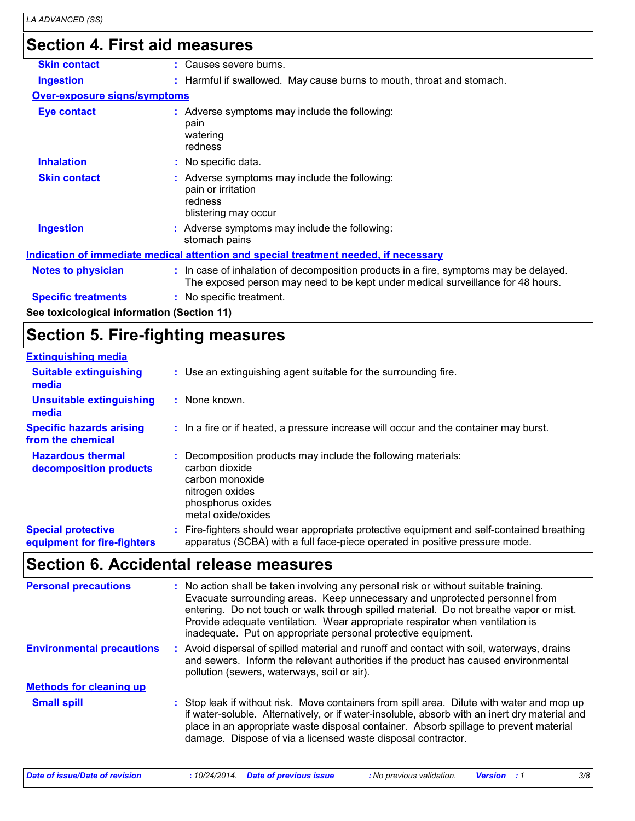### **Section 4. First aid measures**

| <b>Skin contact</b>                        | : Causes severe burns.                                                                                                                                                   |
|--------------------------------------------|--------------------------------------------------------------------------------------------------------------------------------------------------------------------------|
| <b>Ingestion</b>                           | : Harmful if swallowed. May cause burns to mouth, throat and stomach.                                                                                                    |
| <b>Over-exposure signs/symptoms</b>        |                                                                                                                                                                          |
| Eye contact                                | : Adverse symptoms may include the following:<br>pain<br>watering<br>redness                                                                                             |
| <b>Inhalation</b>                          | : No specific data.                                                                                                                                                      |
| <b>Skin contact</b>                        | : Adverse symptoms may include the following:<br>pain or irritation<br>redness<br>blistering may occur                                                                   |
| <b>Ingestion</b>                           | : Adverse symptoms may include the following:<br>stomach pains                                                                                                           |
|                                            | <u>Indication of immediate medical attention and special treatment needed, if necessary</u>                                                                              |
| Notes to physician                         | : In case of inhalation of decomposition products in a fire, symptoms may be delayed.<br>The exposed person may need to be kept under medical surveillance for 48 hours. |
| <b>Specific treatments</b>                 | : No specific treatment.                                                                                                                                                 |
| See toxicological information (Section 11) |                                                                                                                                                                          |

## **Section 5. Fire-fighting measures**

| <b>Extinguishing media</b>                               |                                                                                                                                                                        |
|----------------------------------------------------------|------------------------------------------------------------------------------------------------------------------------------------------------------------------------|
| <b>Suitable extinguishing</b><br>media                   | : Use an extinguishing agent suitable for the surrounding fire.                                                                                                        |
| <b>Unsuitable extinguishing</b><br>media                 | : None known.                                                                                                                                                          |
| <b>Specific hazards arising</b><br>from the chemical     | : In a fire or if heated, a pressure increase will occur and the container may burst.                                                                                  |
| <b>Hazardous thermal</b><br>decomposition products       | : Decomposition products may include the following materials:<br>carbon dioxide<br>carbon monoxide<br>nitrogen oxides<br>phosphorus oxides<br>metal oxide/oxides       |
| <b>Special protective</b><br>equipment for fire-fighters | Fire-fighters should wear appropriate protective equipment and self-contained breathing<br>apparatus (SCBA) with a full face-piece operated in positive pressure mode. |

## **Section 6. Accidental release measures**

| <b>Personal precautions</b>      | : No action shall be taken involving any personal risk or without suitable training.<br>Evacuate surrounding areas. Keep unnecessary and unprotected personnel from<br>entering. Do not touch or walk through spilled material. Do not breathe vapor or mist.<br>Provide adequate ventilation. Wear appropriate respirator when ventilation is<br>inadequate. Put on appropriate personal protective equipment. |
|----------------------------------|-----------------------------------------------------------------------------------------------------------------------------------------------------------------------------------------------------------------------------------------------------------------------------------------------------------------------------------------------------------------------------------------------------------------|
| <b>Environmental precautions</b> | : Avoid dispersal of spilled material and runoff and contact with soil, waterways, drains<br>and sewers. Inform the relevant authorities if the product has caused environmental<br>pollution (sewers, waterways, soil or air).                                                                                                                                                                                 |
| <b>Methods for cleaning up</b>   |                                                                                                                                                                                                                                                                                                                                                                                                                 |
| <b>Small spill</b>               | : Stop leak if without risk. Move containers from spill area. Dilute with water and mop up<br>if water-soluble. Alternatively, or if water-insoluble, absorb with an inert dry material and<br>place in an appropriate waste disposal container. Absorb spillage to prevent material<br>damage. Dispose of via a licensed waste disposal contractor.                                                            |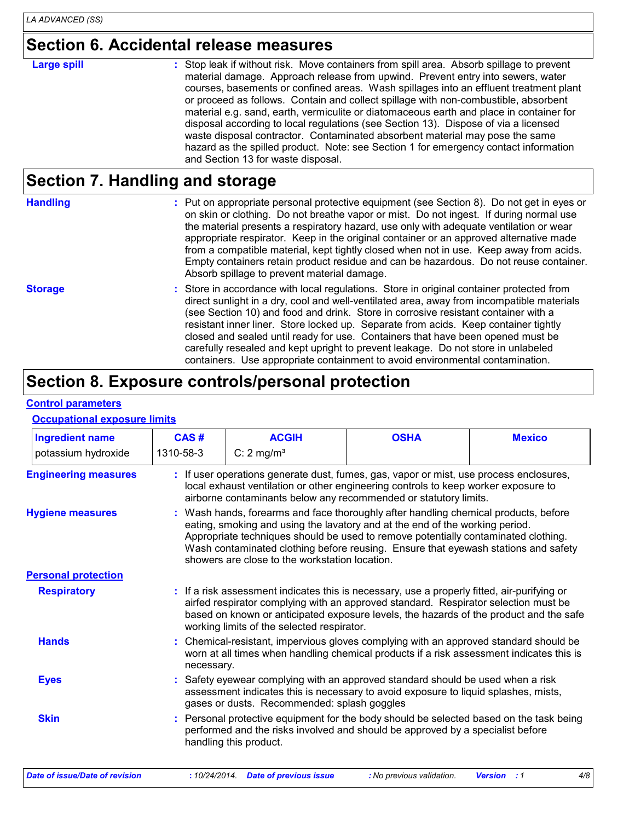#### **Section 6. Accidental release measures**

#### : Stop leak if without risk. Move containers from spill area. Absorb spillage to prevent material damage. Approach release from upwind. Prevent entry into sewers, water courses, basements or confined areas. Wash spillages into an effluent treatment plant or proceed as follows. Contain and collect spillage with non-combustible, absorbent material e.g. sand, earth, vermiculite or diatomaceous earth and place in container for disposal according to local regulations (see Section 13). Dispose of via a licensed waste disposal contractor. Contaminated absorbent material may pose the same hazard as the spilled product. Note: see Section 1 for emergency contact information and Section 13 for waste disposal. **Large spill :**

#### **Section 7. Handling and storage**

| <b>Handling</b> | : Put on appropriate personal protective equipment (see Section 8). Do not get in eyes or<br>on skin or clothing. Do not breathe vapor or mist. Do not ingest. If during normal use<br>the material presents a respiratory hazard, use only with adequate ventilation or wear<br>appropriate respirator. Keep in the original container or an approved alternative made<br>from a compatible material, kept tightly closed when not in use. Keep away from acids.<br>Empty containers retain product residue and can be hazardous. Do not reuse container.<br>Absorb spillage to prevent material damage.                   |  |  |  |  |
|-----------------|-----------------------------------------------------------------------------------------------------------------------------------------------------------------------------------------------------------------------------------------------------------------------------------------------------------------------------------------------------------------------------------------------------------------------------------------------------------------------------------------------------------------------------------------------------------------------------------------------------------------------------|--|--|--|--|
| <b>Storage</b>  | : Store in accordance with local regulations. Store in original container protected from<br>direct sunlight in a dry, cool and well-ventilated area, away from incompatible materials<br>(see Section 10) and food and drink. Store in corrosive resistant container with a<br>resistant inner liner. Store locked up. Separate from acids. Keep container tightly<br>closed and sealed until ready for use. Containers that have been opened must be<br>carefully resealed and kept upright to prevent leakage. Do not store in unlabeled<br>containers. Use appropriate containment to avoid environmental contamination. |  |  |  |  |

## **Section 8. Exposure controls/personal protection**

#### **Control parameters**

#### **Occupational exposure limits**

| <b>Ingredient name</b>      | CAS#                                                                                                                                                                                                                                                                                                                       | <b>ACGIH</b>                                                                                                                                                                                                                                                                                                                                                                                      | <b>OSHA</b>                                                                                                                                                               | <b>Mexico</b> |  |  |  |  |  |
|-----------------------------|----------------------------------------------------------------------------------------------------------------------------------------------------------------------------------------------------------------------------------------------------------------------------------------------------------------------------|---------------------------------------------------------------------------------------------------------------------------------------------------------------------------------------------------------------------------------------------------------------------------------------------------------------------------------------------------------------------------------------------------|---------------------------------------------------------------------------------------------------------------------------------------------------------------------------|---------------|--|--|--|--|--|
| potassium hydroxide         | 1310-58-3                                                                                                                                                                                                                                                                                                                  | C: $2 \text{ mg/m}^3$                                                                                                                                                                                                                                                                                                                                                                             |                                                                                                                                                                           |               |  |  |  |  |  |
| <b>Engineering measures</b> |                                                                                                                                                                                                                                                                                                                            | If user operations generate dust, fumes, gas, vapor or mist, use process enclosures,<br>local exhaust ventilation or other engineering controls to keep worker exposure to<br>airborne contaminants below any recommended or statutory limits.                                                                                                                                                    |                                                                                                                                                                           |               |  |  |  |  |  |
| <b>Hygiene measures</b>     |                                                                                                                                                                                                                                                                                                                            | : Wash hands, forearms and face thoroughly after handling chemical products, before<br>eating, smoking and using the lavatory and at the end of the working period.<br>Appropriate techniques should be used to remove potentially contaminated clothing.<br>Wash contaminated clothing before reusing. Ensure that eyewash stations and safety<br>showers are close to the workstation location. |                                                                                                                                                                           |               |  |  |  |  |  |
| <b>Personal protection</b>  |                                                                                                                                                                                                                                                                                                                            |                                                                                                                                                                                                                                                                                                                                                                                                   |                                                                                                                                                                           |               |  |  |  |  |  |
| <b>Respiratory</b>          | : If a risk assessment indicates this is necessary, use a properly fitted, air-purifying or<br>airfed respirator complying with an approved standard. Respirator selection must be<br>based on known or anticipated exposure levels, the hazards of the product and the safe<br>working limits of the selected respirator. |                                                                                                                                                                                                                                                                                                                                                                                                   |                                                                                                                                                                           |               |  |  |  |  |  |
| <b>Hands</b>                |                                                                                                                                                                                                                                                                                                                            | : Chemical-resistant, impervious gloves complying with an approved standard should be<br>worn at all times when handling chemical products if a risk assessment indicates this is<br>necessary.                                                                                                                                                                                                   |                                                                                                                                                                           |               |  |  |  |  |  |
| <b>Eyes</b>                 |                                                                                                                                                                                                                                                                                                                            | : Safety eyewear complying with an approved standard should be used when a risk<br>assessment indicates this is necessary to avoid exposure to liquid splashes, mists,<br>gases or dusts. Recommended: splash goggles                                                                                                                                                                             |                                                                                                                                                                           |               |  |  |  |  |  |
| <b>Skin</b>                 |                                                                                                                                                                                                                                                                                                                            | handling this product.                                                                                                                                                                                                                                                                                                                                                                            | : Personal protective equipment for the body should be selected based on the task being<br>performed and the risks involved and should be approved by a specialist before |               |  |  |  |  |  |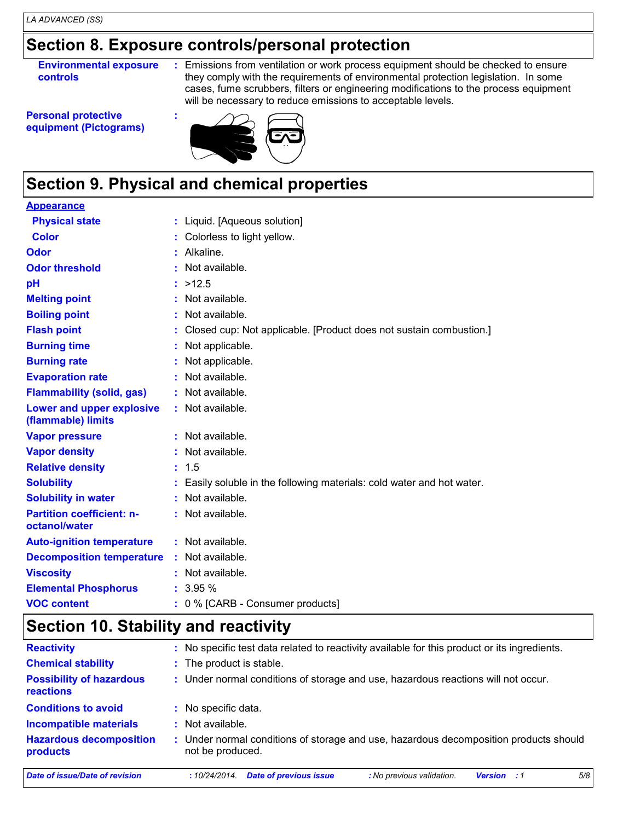#### **Section 8. Exposure controls/personal protection**

**Environmental exposure controls**

**:** Emissions from ventilation or work process equipment should be checked to ensure they comply with the requirements of environmental protection legislation. In some cases, fume scrubbers, filters or engineering modifications to the process equipment will be necessary to reduce emissions to acceptable levels.

**Personal protective equipment (Pictograms)**



## **Section 9. Physical and chemical properties**

**:**

| <b>Appearance</b>                                 |                                                                        |
|---------------------------------------------------|------------------------------------------------------------------------|
| <b>Physical state</b>                             | : Liquid. [Aqueous solution]                                           |
| <b>Color</b>                                      | : Colorless to light yellow.                                           |
| <b>Odor</b>                                       | : Alkaline.                                                            |
| <b>Odor threshold</b>                             | : Not available.                                                       |
| pH                                                | : >12.5                                                                |
| <b>Melting point</b>                              | : Not available.                                                       |
| <b>Boiling point</b>                              | : Not available.                                                       |
| <b>Flash point</b>                                | : Closed cup: Not applicable. [Product does not sustain combustion.]   |
| <b>Burning time</b>                               | : Not applicable.                                                      |
| <b>Burning rate</b>                               | : Not applicable.                                                      |
| <b>Evaporation rate</b>                           | : Not available.                                                       |
| <b>Flammability (solid, gas)</b>                  | : Not available.                                                       |
| Lower and upper explosive<br>(flammable) limits   | : Not available.                                                       |
| <b>Vapor pressure</b>                             | : Not available.                                                       |
| <b>Vapor density</b>                              | : Not available.                                                       |
| <b>Relative density</b>                           | : 1.5                                                                  |
| <b>Solubility</b>                                 | : Easily soluble in the following materials: cold water and hot water. |
| <b>Solubility in water</b>                        | : Not available.                                                       |
| <b>Partition coefficient: n-</b><br>octanol/water | : Not available.                                                       |
| <b>Auto-ignition temperature</b>                  | : Not available.                                                       |
| <b>Decomposition temperature</b>                  | : Not available.                                                       |
| <b>Viscosity</b>                                  | : Not available.                                                       |
| <b>Elemental Phosphorus</b>                       | : 3.95%                                                                |
| <b>VOC content</b>                                | : 0 % [CARB - Consumer products]                                       |

#### **Section 10. Stability and reactivity**

| <b>Reactivity</b>                                   | : No specific test data related to reactivity available for this product or its ingredients.            |  |  |  |  |  |
|-----------------------------------------------------|---------------------------------------------------------------------------------------------------------|--|--|--|--|--|
| <b>Chemical stability</b>                           | : The product is stable.                                                                                |  |  |  |  |  |
| <b>Possibility of hazardous</b><br><b>reactions</b> | : Under normal conditions of storage and use, hazardous reactions will not occur.                       |  |  |  |  |  |
| <b>Conditions to avoid</b>                          | : No specific data.                                                                                     |  |  |  |  |  |
| <b>Incompatible materials</b>                       | Not available.                                                                                          |  |  |  |  |  |
| <b>Hazardous decomposition</b><br>products          | Under normal conditions of storage and use, hazardous decomposition products should<br>not be produced. |  |  |  |  |  |
| Date of issue/Date of revision                      | 5/8<br><b>Date of previous issue</b><br>: No previous validation.<br>:10/24/2014.<br><b>Version</b> : 1 |  |  |  |  |  |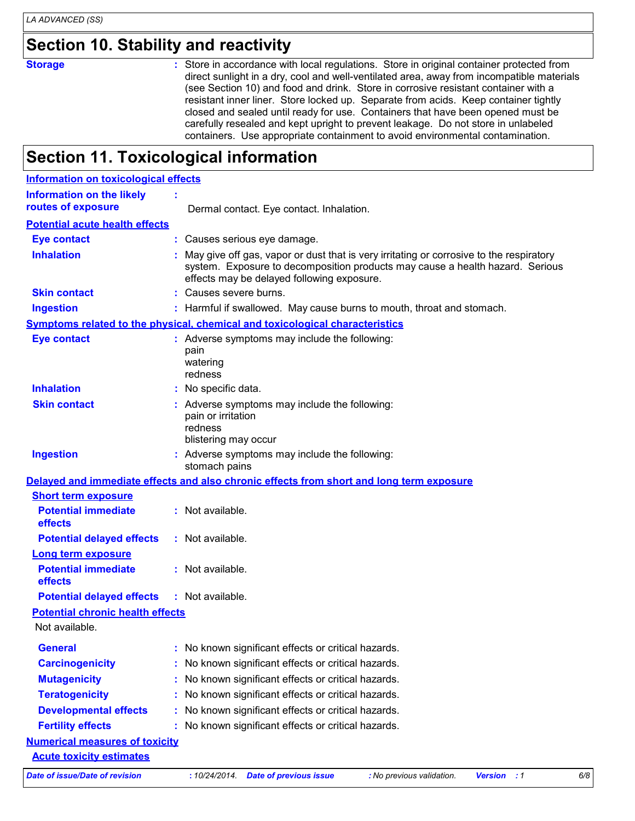#### **Section 10. Stability and reactivity**

**Storage :** Store in accordance with local regulations. Store in original container protected from direct sunlight in a dry, cool and well-ventilated area, away from incompatible materials (see Section 10) and food and drink. Store in corrosive resistant container with a resistant inner liner. Store locked up. Separate from acids. Keep container tightly closed and sealed until ready for use. Containers that have been opened must be carefully resealed and kept upright to prevent leakage. Do not store in unlabeled containers. Use appropriate containment to avoid environmental contamination.

#### **Section 11. Toxicological information**

| <b>Information on toxicological effects</b>                                              |                             |                     |                                                                       |                                                                                                                                                                            |                    |     |
|------------------------------------------------------------------------------------------|-----------------------------|---------------------|-----------------------------------------------------------------------|----------------------------------------------------------------------------------------------------------------------------------------------------------------------------|--------------------|-----|
| <b>Information on the likely</b>                                                         |                             |                     |                                                                       |                                                                                                                                                                            |                    |     |
| routes of exposure                                                                       |                             |                     | Dermal contact. Eye contact. Inhalation.                              |                                                                                                                                                                            |                    |     |
| <b>Potential acute health effects</b>                                                    |                             |                     |                                                                       |                                                                                                                                                                            |                    |     |
| <b>Eye contact</b>                                                                       |                             |                     | : Causes serious eye damage.                                          |                                                                                                                                                                            |                    |     |
| <b>Inhalation</b>                                                                        |                             |                     | effects may be delayed following exposure.                            | : May give off gas, vapor or dust that is very irritating or corrosive to the respiratory<br>system. Exposure to decomposition products may cause a health hazard. Serious |                    |     |
| <b>Skin contact</b>                                                                      |                             |                     | : Causes severe burns.                                                |                                                                                                                                                                            |                    |     |
| <b>Ingestion</b>                                                                         |                             |                     |                                                                       | : Harmful if swallowed. May cause burns to mouth, throat and stomach.                                                                                                      |                    |     |
| Symptoms related to the physical, chemical and toxicological characteristics             |                             |                     |                                                                       |                                                                                                                                                                            |                    |     |
| <b>Eye contact</b>                                                                       | pain<br>watering<br>redness |                     | : Adverse symptoms may include the following:                         |                                                                                                                                                                            |                    |     |
| <b>Inhalation</b>                                                                        |                             | : No specific data. |                                                                       |                                                                                                                                                                            |                    |     |
| <b>Skin contact</b>                                                                      | redness                     | pain or irritation  | : Adverse symptoms may include the following:<br>blistering may occur |                                                                                                                                                                            |                    |     |
| <b>Ingestion</b>                                                                         |                             | stomach pains       | : Adverse symptoms may include the following:                         |                                                                                                                                                                            |                    |     |
| Delayed and immediate effects and also chronic effects from short and long term exposure |                             |                     |                                                                       |                                                                                                                                                                            |                    |     |
| <b>Short term exposure</b>                                                               |                             |                     |                                                                       |                                                                                                                                                                            |                    |     |
| <b>Potential immediate</b><br>effects                                                    |                             | : Not available.    |                                                                       |                                                                                                                                                                            |                    |     |
| <b>Potential delayed effects</b>                                                         |                             | : Not available.    |                                                                       |                                                                                                                                                                            |                    |     |
| <b>Long term exposure</b><br><b>Potential immediate</b><br>effects                       |                             | : Not available.    |                                                                       |                                                                                                                                                                            |                    |     |
| <b>Potential delayed effects</b>                                                         |                             | : Not available.    |                                                                       |                                                                                                                                                                            |                    |     |
| <b>Potential chronic health effects</b>                                                  |                             |                     |                                                                       |                                                                                                                                                                            |                    |     |
| Not available.                                                                           |                             |                     |                                                                       |                                                                                                                                                                            |                    |     |
| <b>General</b>                                                                           |                             |                     | : No known significant effects or critical hazards.                   |                                                                                                                                                                            |                    |     |
| <b>Carcinogenicity</b>                                                                   |                             |                     | No known significant effects or critical hazards.                     |                                                                                                                                                                            |                    |     |
| <b>Mutagenicity</b>                                                                      |                             |                     | : No known significant effects or critical hazards.                   |                                                                                                                                                                            |                    |     |
| <b>Teratogenicity</b>                                                                    |                             |                     | : No known significant effects or critical hazards.                   |                                                                                                                                                                            |                    |     |
| <b>Developmental effects</b>                                                             |                             |                     | : No known significant effects or critical hazards.                   |                                                                                                                                                                            |                    |     |
| <b>Fertility effects</b>                                                                 |                             |                     | : No known significant effects or critical hazards.                   |                                                                                                                                                                            |                    |     |
| <b>Numerical measures of toxicity</b>                                                    |                             |                     |                                                                       |                                                                                                                                                                            |                    |     |
| <b>Acute toxicity estimates</b>                                                          |                             |                     |                                                                       |                                                                                                                                                                            |                    |     |
| <b>Date of issue/Date of revision</b>                                                    |                             |                     | : 10/24/2014. Date of previous issue                                  | : No previous validation.                                                                                                                                                  | <b>Version</b> : 1 | 6/8 |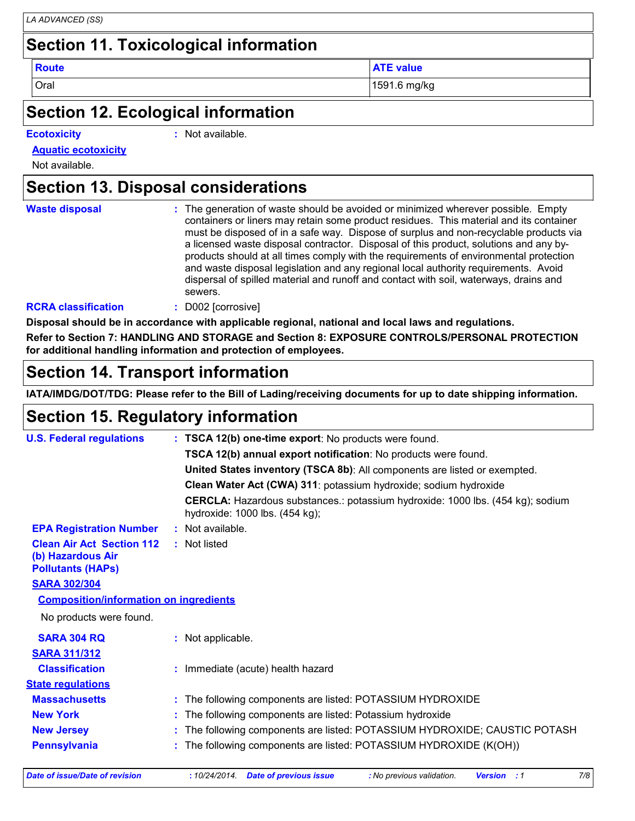## **Section 11. Toxicological information**

**Route ATE** value

Oral 1591.6 mg/kg

#### **Section 12. Ecological information**

**Ecotoxicity :**

: Not available.

**Aquatic ecotoxicity**

Not available.

### **Section 13. Disposal considerations**

| <b>Waste disposal</b>      | : The generation of waste should be avoided or minimized wherever possible. Empty<br>containers or liners may retain some product residues. This material and its container<br>must be disposed of in a safe way. Dispose of surplus and non-recyclable products via<br>a licensed waste disposal contractor. Disposal of this product, solutions and any by-<br>products should at all times comply with the requirements of environmental protection<br>and waste disposal legislation and any regional local authority requirements. Avoid<br>dispersal of spilled material and runoff and contact with soil, waterways, drains and<br>sewers. |
|----------------------------|---------------------------------------------------------------------------------------------------------------------------------------------------------------------------------------------------------------------------------------------------------------------------------------------------------------------------------------------------------------------------------------------------------------------------------------------------------------------------------------------------------------------------------------------------------------------------------------------------------------------------------------------------|
| <b>RCRA classification</b> | D002 [corrosive]                                                                                                                                                                                                                                                                                                                                                                                                                                                                                                                                                                                                                                  |

**Disposal should be in accordance with applicable regional, national and local laws and regulations.**

**Refer to Section 7: HANDLING AND STORAGE and Section 8: EXPOSURE CONTROLS/PERSONAL PROTECTION for additional handling information and protection of employees.**

#### **Section 14. Transport information**

**IATA/IMDG/DOT/TDG: Please refer to the Bill of Lading/receiving documents for up to date shipping information.**

#### **Section 15. Regulatory information**

| <b>U.S. Federal regulations</b>                                                   |  | : TSCA 12(b) one-time export: No products were found.                                                            |
|-----------------------------------------------------------------------------------|--|------------------------------------------------------------------------------------------------------------------|
|                                                                                   |  | TSCA 12(b) annual export notification: No products were found.                                                   |
|                                                                                   |  | United States inventory (TSCA 8b): All components are listed or exempted.                                        |
|                                                                                   |  | Clean Water Act (CWA) 311: potassium hydroxide; sodium hydroxide                                                 |
|                                                                                   |  | CERCLA: Hazardous substances.: potassium hydroxide: 1000 lbs. (454 kg); sodium<br>hydroxide: 1000 lbs. (454 kg); |
| <b>EPA Registration Number</b>                                                    |  | : Not available.                                                                                                 |
| <b>Clean Air Act Section 112</b><br>(b) Hazardous Air<br><b>Pollutants (HAPS)</b> |  | : Not listed                                                                                                     |
| <b>SARA 302/304</b>                                                               |  |                                                                                                                  |
| <b>Composition/information on ingredients</b>                                     |  |                                                                                                                  |
| No products were found.                                                           |  |                                                                                                                  |
| <b>SARA 304 RQ</b>                                                                |  | : Not applicable.                                                                                                |
| <b>SARA 311/312</b>                                                               |  |                                                                                                                  |
| <b>Classification</b>                                                             |  | : Immediate (acute) health hazard                                                                                |
| <b>State regulations</b>                                                          |  |                                                                                                                  |
| <b>Massachusetts</b>                                                              |  | : The following components are listed: POTASSIUM HYDROXIDE                                                       |
| <b>New York</b>                                                                   |  | : The following components are listed: Potassium hydroxide                                                       |
| <b>New Jersey</b>                                                                 |  | : The following components are listed: POTASSIUM HYDROXIDE; CAUSTIC POTASH                                       |
| <b>Pennsylvania</b>                                                               |  | : The following components are listed: POTASSIUM HYDROXIDE (K(OH))                                               |
|                                                                                   |  |                                                                                                                  |

*Date of issue/Date of revision* **:** *10/24/2014. Date of previous issue : No previous validation. Version : 1 7/8*